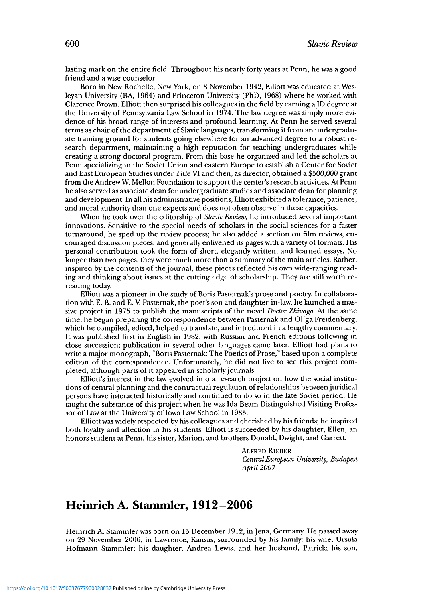lasting mark on the entire field. Throughout his nearly forty years at Penn, he was a good friend and a wise counselor.

Born in New Rochelle, New York, on 8 November 1942, Elliott was educated at Wesleyan University (BA, 1964) and Princeton University (PhD, 1968) where he worked with Clarence Brown. Elliott then surprised his colleagues in the field by earning a JD degree at the University of Pennsylvania Law School in 1974. The law degree was simply more evidence of his broad range of interests and profound learning. At Penn he served several terms as chair of the department of Slavic languages, transforming it from an undergraduate training ground for students going elsewhere for an advanced degree to a robust research department, maintaining a high reputation for teaching undergraduates while creating a strong doctoral program. From this base he organized and led the scholars at Penn specializing in the Soviet Union and eastern Europe to establish a Center for Soviet and East European Studies under Tide VI and then, as director, obtained a \$500,000 grant from the Andrew W. Mellon Foundation to support the center's research activities. At Penn he also served as associate dean for undergraduate studies and associate dean for planning and development. In all his administrative positions, Elliott exhibited a tolerance, patience, and moral authority than one expects and does not often observe in these capacities.

When he took over the editorship of *Slavic Review,* he introduced several important innovations. Sensitive to the special needs of scholars in the social sciences for a faster turnaround, he sped up the review process; he also added a section on film reviews, encouraged discussion pieces, and generally enlivened its pages with a variety of formats. His personal contribution took the form of short, elegantly written, and learned essays. No longer than two pages, they were much more than a summary of the main articles. Rather, inspired by the contents of the journal, these pieces reflected his own wide-ranging reading and thinking about issues at the cutting edge of scholarship. They are still worth rereading today.

Elliott was a pioneer in the study of Boris Pasternak's prose and poetry. In collaboration with E. B. and E. V. Pasternak, the poet's son and daughter-in-law, he launched a massive project in 1975 to publish *the* manuscripts of the novel *Doctor Zhivago.* At the same time, he began preparing the correspondence between Pasternak and Ol'ga Freidenberg, which he compiled, edited, helped to translate, and introduced in a lengthy commentary. It was published first in English in 1982, with Russian and French editions following in close succession; publication in several other languages came later. Elliott had plans to write a major monograph, "Boris Pasternak: The Poetics of Prose," based upon a complete edition of the correspondence. Unfortunately, he did not live to see this project completed, although parts of it appeared in scholarly journals.

Elliott's interest in the law evolved into a research project on how the social institutions of central planning and the contractual regulation of relationships between juridical persons have interacted historically and continued to do so in the late Soviet period. He taught die substance of this project when he was Ida Beam Distinguished Visiting Professor of Law at the University of Iowa Law School in 1983.

Elliott was widely respected by his colleagues and cherished by his friends; he inspired both loyalty and affection in his students. Elliott is succeeded by his daughter, Ellen, an honors student at Penn, his sister, Marion, and brothers Donald, Dwight, and Garrett.

> ALFRED RIEBER *Central European University, Budapest April 2007*

## Heinrich A. Stammler, 1912-2006

Heinrich A. Stammler was born on 15 December 1912, in Jena, Germany. He passed away on 29 November 2006, in Lawrence, Kansas, surrounded by his family: his wife, Ursula Hofmann Stammler; his daughter, Andrea Lewis, and her husband, Patrick; his son,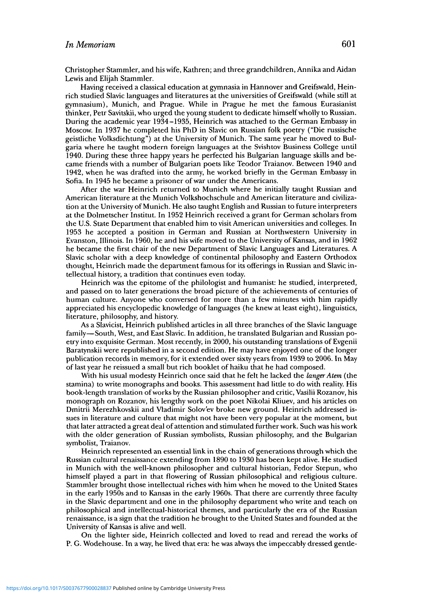Christopher Stammler, and his wife, Kathren; and three grandchildren, Annika and Aidan Lewis and Elijah Stammler.

Having received a classical education at gymnasia in Hannover and Greifswald, Heinrich studied Slavic languages and literatures at the universities of Greifswald (while still at gymnasium), Munich, and Prague. While in Prague he met the famous Eurasianist thinker, Petr Savitskii, who urged the young student to dedicate himself wholly to Russian. During the academic year 1934-1935, Heinrich was attached to the German Embassy in Moscow. In 1937 he completed his PhD in Slavic on Russian folk poetry ("Die russische geistliche Volksdichtung") at the University of Munich. The same year he moved to Bulgaria where he taught modern foreign languages at the Svishtov Business College until 1940. During these three happy years he perfected his Bulgarian language skills and became friends with a number of Bulgarian poets like Teodor Traianov. Between 1940 and 1942, when he was drafted into the army, he worked briefly in the German Embassy in Sofia. In 1945 he became a prisoner of war under the Americans.

After the war Heinrich returned to Munich where he initially taught Russian and American literature at the Munich Volkshochschule and American literature and civilization at the University of Munich. He also taught English and Russian to future interpreters at the Dolmetscher Institut. In 1952 Heinrich received a grant for German scholars from the U.S. State Department that enabled him to visit American universities and colleges. In 1953 he accepted a position in German and Russian at Northwestern University in Evanston, Illinois. In 1960, he and his wife moved to the University of Kansas, and in 1962 he became the first chair of the new Department of Slavic Languages and Literatures. A Slavic scholar with a deep knowledge of continental philosophy and Eastern Orthodox thought, Heinrich made the department famous for its offerings in Russian and Slavic intellectual history, a tradition that continues even today.

Heinrich was the epitome of the philologist and humanist: he studied, interpreted, and passed on to later generations the broad picture of the achievements of centuries of human culture. Anyone who conversed for more than a few minutes with him rapidly appreciated his encyclopedic knowledge of languages (he knew at least eight), linguistics, literature, philosophy, and history.

As a Slavicist, Heinrich published articles in all three branches of the Slavic language family—South, West, and East Slavic. In addition, he translated Bulgarian and Russian poetry into exquisite German. Most recently, in 2000, his outstanding translations of Evgenii Baratynskii were republished in a second edition. He may have enjoyed one of the longer publication records in memory, for it extended over sixty years from 1939 to 2006. In May of last year he reissued a small but rich booklet of haiku that he had composed.

With his usual modesty Heinrich once said that he felt he lacked the *langer Atem* (the stamina) to write monographs and books. This assessment had little to do with reality. His book-length translation of works by the Russian philosopher and critic, Vasilii Rozanov, his monograph on Rozanov, his lengthy work on the poet Nikolai Kliuev, and his articles on Dmitrii Merezhkovskii and Vladimir Solov'ev broke new ground. Heinrich addressed issues in literature and culture that might not have been very popular at the moment, but that later attracted a great deal of attention and stimulated further work. Such was his work with the older generation of Russian symbolists, Russian philosophy, and the Bulgarian symbolist, Traianov.

Heinrich represented an essential link in the chain of generations through which the Russian cultural renaissance extending from 1890 to 1930 has been kept alive. He studied in Munich with the well-known philosopher and cultural historian, Fedor Stepun, who himself played a part in that flowering of Russian philosophical and religious culture. Stammler brought those intellectual riches with him when he moved to the United States in the early 1950s and to Kansas in the early 1960s. That there are currently three faculty in the Slavic department and one in the philosophy department who write and teach on philosophical and intellectual-historical themes, and particularly the era of the Russian renaissance, is a sign that the tradition he brought to the United States and founded at the University of Kansas is alive and well.

On the lighter side, Heinrich collected and loved to read and reread the works of P. G. Wodehouse. In a way, he lived that era: he was always the impeccably dressed gentle